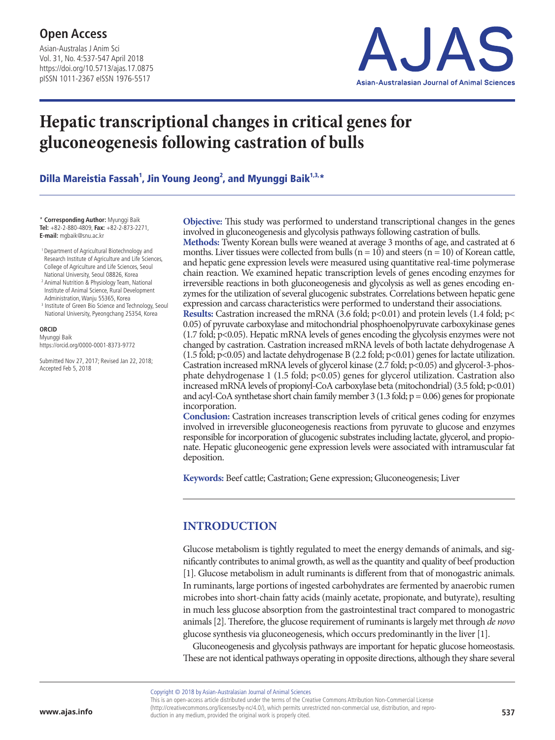Asian-Australas J Anim Sci Vol. 31, No. 4:537-547 April 2018 https://doi.org/10.5713/ajas.17.0875 pISSN 1011-2367 eISSN 1976-5517



# **Hepatic transcriptional changes in critical genes for gluconeogenesis following castration of bulls**

Dilla Mareistia Fassah $^1$ , Jin Young Jeong $^2$ , and Myunggi Baik $^{1,3,\ast}$ 

\* **Corresponding Author:** Myunggi Baik **Tel:** +82-2-880-4809, **Fax:** +82-2-873-2271, **E-mail:** mgbaik@snu.ac.kr

- 1 Department of Agricultural Biotechnology and Research Institute of Agriculture and Life Sciences, College of Agriculture and Life Sciences, Seoul National University, Seoul 08826, Korea
- <sup>2</sup> Animal Nutrition & Physiology Team, National Institute of Animal Science, Rural Development Administration, Wanju 55365, Korea
- <sup>3</sup> Institute of Green Bio Science and Technology, Seoul National University, Pyeongchang 25354, Korea

**ORCID** Myunggi Baik https://orcid.org/0000-0001-8373-9772

Submitted Nov 27, 2017; Revised Jan 22, 2018; Accepted Feb 5, 2018

**Objective:** This study was performed to understand transcriptional changes in the genes involved in gluconeogenesis and glycolysis pathways following castration of bulls.

**Methods:** Twenty Korean bulls were weaned at average 3 months of age, and castrated at 6 months. Liver tissues were collected from bulls ( $n = 10$ ) and steers ( $n = 10$ ) of Korean cattle, and hepatic gene expression levels were measured using quantitative real-time polymerase chain reaction. We examined hepatic transcription levels of genes encoding enzymes for irreversible reactions in both gluconeogenesis and glycolysis as well as genes encoding enzymes for the utilization of several glucogenic substrates. Correlations between hepatic gene expression and carcass characteristics were performed to understand their associations.

**Results:** Castration increased the mRNA (3.6 fold;  $p$ <0.01) and protein levels (1.4 fold;  $p$ < 0.05) of pyruvate carboxylase and mitochondrial phosphoenolpyruvate carboxykinase genes (1.7 fold; p<0.05). Hepatic mRNA levels of genes encoding the glycolysis enzymes were not changed by castration. Castration increased mRNA levels of both lactate dehydrogenase A (1.5 fold; p<0.05) and lactate dehydrogenase B (2.2 fold; p<0.01) genes for lactate utilization. Castration increased mRNA levels of glycerol kinase (2.7 fold; p<0.05) and glycerol-3-phosphate dehydrogenase 1 (1.5 fold; p<0.05) genes for glycerol utilization. Castration also increased mRNA levels of propionyl-CoA carboxylase beta (mitochondrial) (3.5 fold; p<0.01) and acyl-CoA synthetase short chain family member 3 (1.3 fold;  $p = 0.06$ ) genes for propionate incorporation.

**Conclusion:** Castration increases transcription levels of critical genes coding for enzymes involved in irreversible gluconeogenesis reactions from pyruvate to glucose and enzymes responsible for incorporation of glucogenic substrates including lactate, glycerol, and propionate. Hepatic gluconeogenic gene expression levels were associated with intramuscular fat deposition.

**Keywords:** Beef cattle; Castration; Gene expression; Gluconeogenesis; Liver

## **INTRODUCTION**

Glucose metabolism is tightly regulated to meet the energy demands of animals, and significantly contributes to animal growth, as well as the quantity and quality of beef production [1]. Glucose metabolism in adult ruminants is different from that of monogastric animals. In ruminants, large portions of ingested carbohydrates are fermented by anaerobic rumen microbes into short-chain fatty acids (mainly acetate, propionate, and butyrate), resulting in much less glucose absorption from the gastrointestinal tract compared to monogastric animals [2]. Therefore, the glucose requirement of ruminants is largely met through *de novo* glucose synthesis via gluconeogenesis, which occurs predominantly in the liver [1].

Gluconeogenesis and glycolysis pathways are important for hepatic glucose homeostasis. These are not identical pathways operating in opposite directions, although they share several

Copyright © 2018 by Asian-Australasian Journal of Animal Sciences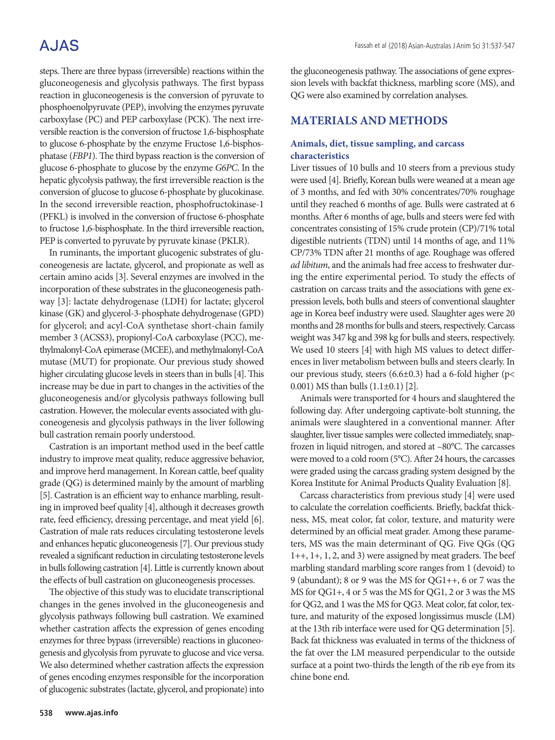# **AJAS**

steps. There are three bypass (irreversible) reactions within the gluconeogenesis and glycolysis pathways. The first bypass reaction in gluconeogenesis is the conversion of pyruvate to phosphoenolpyruvate (PEP), involving the enzymes pyruvate carboxylase (PC) and PEP carboxylase (PCK). The next irreversible reaction is the conversion of fructose 1,6-bisphosphate to glucose 6-phosphate by the enzyme Fructose 1,6-bisphosphatase (*FBP1*). The third bypass reaction is the conversion of glucose 6-phosphate to glucose by the enzyme *G6PC*. In the hepatic glycolysis pathway, the first irreversible reaction is the conversion of glucose to glucose 6-phosphate by glucokinase. In the second irreversible reaction, phosphofructokinase-1 (PFKL) is involved in the conversion of fructose 6-phosphate to fructose 1,6-bisphosphate. In the third irreversible reaction, PEP is converted to pyruvate by pyruvate kinase (PKLR).

In ruminants, the important glucogenic substrates of gluconeogenesis are lactate, glycerol, and propionate as well as certain amino acids [3]. Several enzymes are involved in the incorporation of these substrates in the gluconeogenesis pathway [3]: lactate dehydrogenase (LDH) for lactate; glycerol kinase (GK) and glycerol-3-phosphate dehydrogenase (GPD) for glycerol; and acyl-CoA synthetase short-chain family member 3 (ACSS3), propionyl-CoA carboxylase (PCC), methylmalonyl-CoA epimerase (MCEE), and methylmalonyl-CoA mutase (MUT) for propionate. Our previous study showed higher circulating glucose levels in steers than in bulls [4]. This increase may be due in part to changes in the activities of the gluconeogenesis and/or glycolysis pathways following bull castration. However, the molecular events associated with gluconeogenesis and glycolysis pathways in the liver following bull castration remain poorly understood.

Castration is an important method used in the beef cattle industry to improve meat quality, reduce aggressive behavior, and improve herd management. In Korean cattle, beef quality grade (QG) is determined mainly by the amount of marbling [5]. Castration is an efficient way to enhance marbling, resulting in improved beef quality [4], although it decreases growth rate, feed efficiency, dressing percentage, and meat yield [6]. Castration of male rats reduces circulating testosterone levels and enhances hepatic gluconeogenesis [7]. Our previous study revealed a significant reduction in circulating testosterone levels in bulls following castration [4]. Little is currently known about the effects of bull castration on gluconeogenesis processes.

The objective of this study was to elucidate transcriptional changes in the genes involved in the gluconeogenesis and glycolysis pathways following bull castration. We examined whether castration affects the expression of genes encoding enzymes for three bypass (irreversible) reactions in gluconeogenesis and glycolysis from pyruvate to glucose and vice versa. We also determined whether castration affects the expression of genes encoding enzymes responsible for the incorporation of glucogenic substrates (lactate, glycerol, and propionate) into the gluconeogenesis pathway. The associations of gene expression levels with backfat thickness, marbling score (MS), and QG were also examined by correlation analyses.

### **MATERIALS AND METHODS**

#### **Animals, diet, tissue sampling, and carcass characteristics**

Liver tissues of 10 bulls and 10 steers from a previous study were used [4]. Briefly, Korean bulls were weaned at a mean age of 3 months, and fed with 30% concentrates/70% roughage until they reached 6 months of age. Bulls were castrated at 6 months. After 6 months of age, bulls and steers were fed with concentrates consisting of 15% crude protein (CP)/71% total digestible nutrients (TDN) until 14 months of age, and 11% CP/73% TDN after 21 months of age. Roughage was offered *ad libitum*, and the animals had free access to freshwater during the entire experimental period. To study the effects of castration on carcass traits and the associations with gene expression levels, both bulls and steers of conventional slaughter age in Korea beef industry were used. Slaughter ages were 20 months and 28 months for bulls and steers, respectively. Carcass weight was 347 kg and 398 kg for bulls and steers, respectively. We used 10 steers [4] with high MS values to detect differences in liver metabolism between bulls and steers clearly. In our previous study, steers (6.6±0.3) had a 6-fold higher (p< 0.001) MS than bulls (1.1±0.1) [2].

Animals were transported for 4 hours and slaughtered the following day. After undergoing captivate-bolt stunning, the animals were slaughtered in a conventional manner. After slaughter, liver tissue samples were collected immediately, snapfrozen in liquid nitrogen, and stored at –80°C. The carcasses were moved to a cold room (5°C). After 24 hours, the carcasses were graded using the carcass grading system designed by the Korea Institute for Animal Products Quality Evaluation [8].

Carcass characteristics from previous study [4] were used to calculate the correlation coefficients. Briefly, backfat thickness, MS, meat color, fat color, texture, and maturity were determined by an official meat grader. Among these parameters, MS was the main determinant of QG. Five QGs (QG 1++, 1+, 1, 2, and 3) were assigned by meat graders. The beef marbling standard marbling score ranges from 1 (devoid) to 9 (abundant); 8 or 9 was the MS for QG1++, 6 or 7 was the MS for QG1+, 4 or 5 was the MS for QG1, 2 or 3 was the MS for QG2, and 1 was the MS for QG3. Meat color, fat color, texture, and maturity of the exposed longissimus muscle (LM) at the 13th rib interface were used for QG determination [5]. Back fat thickness was evaluated in terms of the thickness of the fat over the LM measured perpendicular to the outside surface at a point two-thirds the length of the rib eye from its chine bone end.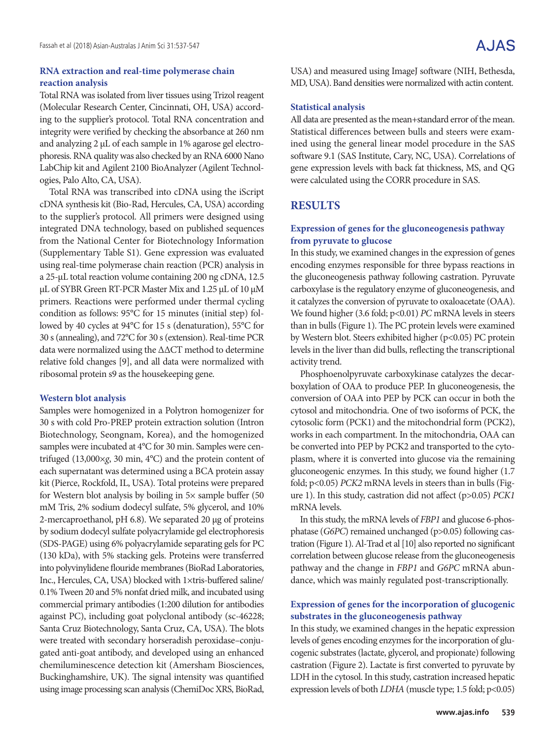#### **RNA extraction and real-time polymerase chain reaction analysis**

Total RNA was isolated from liver tissues using Trizol reagent (Molecular Research Center, Cincinnati, OH, USA) according to the supplier's protocol. Total RNA concentration and integrity were verified by checking the absorbance at 260 nm and analyzing 2 μL of each sample in 1% agarose gel electrophoresis. RNA quality was also checked by an RNA 6000 Nano LabChip kit and Agilent 2100 BioAnalyzer (Agilent Technologies, Palo Alto, CA, USA).

Total RNA was transcribed into cDNA using the iScript cDNA synthesis kit (Bio-Rad, Hercules, CA, USA) according to the supplier's protocol. All primers were designed using integrated DNA technology, based on published sequences from the National Center for Biotechnology Information (Supplementary Table S1). Gene expression was evaluated using real-time polymerase chain reaction (PCR) analysis in a 25-μL total reaction volume containing 200 ng cDNA, 12.5 μL of SYBR Green RT-PCR Master Mix and 1.25 μL of 10 μM primers. Reactions were performed under thermal cycling condition as follows: 95°C for 15 minutes (initial step) followed by 40 cycles at 94°C for 15 s (denaturation), 55°C for 30 s (annealing), and 72°C for 30 s (extension). Real-time PCR data were normalized using the ΔΔCT method to determine relative fold changes [9], and all data were normalized with ribosomal protein s9 as the housekeeping gene.

#### **Western blot analysis**

Samples were homogenized in a Polytron homogenizer for 30 s with cold Pro-PREP protein extraction solution (Intron Biotechnology, Seongnam, Korea), and the homogenized samples were incubated at 4°C for 30 min. Samples were centrifuged (13,000×*g*, 30 min, 4°C) and the protein content of each supernatant was determined using a BCA protein assay kit (Pierce, Rockfold, IL, USA). Total proteins were prepared for Western blot analysis by boiling in  $5\times$  sample buffer (50 mM Tris, 2% sodium dodecyl sulfate, 5% glycerol, and 10% 2-mercaproethanol, pH 6.8). We separated 20 μg of proteins by sodium dodecyl sulfate polyacrylamide gel electrophoresis (SDS-PAGE) using 6% polyacrylamide separating gels for PC (130 kDa), with 5% stacking gels. Proteins were transferred into polyvinylidene flouride membranes (BioRad Laboratories, Inc., Hercules, CA, USA) blocked with 1×tris-buffered saline/ 0.1% Tween 20 and 5% nonfat dried milk, and incubated using commercial primary antibodies (1:200 dilution for antibodies against PC), including goat polyclonal antibody (sc-46228; Santa Cruz Biotechnology, Santa Cruz, CA, USA). The blots were treated with secondary horseradish peroxidase–conjugated anti-goat antibody, and developed using an enhanced chemiluminescence detection kit (Amersham Biosciences, Buckinghamshire, UK). The signal intensity was quantified using image processing scan analysis (ChemiDoc XRS, BioRad,

USA) and measured using ImageJ software (NIH, Bethesda, MD, USA). Band densities were normalized with actin content.

#### **Statistical analysis**

All data are presented as the mean+standard error of the mean. Statistical differences between bulls and steers were examined using the general linear model procedure in the SAS software 9.1 (SAS Institute, Cary, NC, USA). Correlations of gene expression levels with back fat thickness, MS, and QG were calculated using the CORR procedure in SAS.

### **RESULTS**

#### **Expression of genes for the gluconeogenesis pathway from pyruvate to glucose**

In this study, we examined changes in the expression of genes encoding enzymes responsible for three bypass reactions in the gluconeogenesis pathway following castration. Pyruvate carboxylase is the regulatory enzyme of gluconeogenesis, and it catalyzes the conversion of pyruvate to oxaloacetate (OAA). We found higher (3.6 fold; p<0.01) *PC* mRNA levels in steers than in bulls (Figure 1). The PC protein levels were examined by Western blot. Steers exhibited higher (p<0.05) PC protein levels in the liver than did bulls, reflecting the transcriptional activity trend.

Phosphoenolpyruvate carboxykinase catalyzes the decarboxylation of OAA to produce PEP. In gluconeogenesis, the conversion of OAA into PEP by PCK can occur in both the cytosol and mitochondria. One of two isoforms of PCK, the cytosolic form (PCK1) and the mitochondrial form (PCK2), works in each compartment. In the mitochondria, OAA can be converted into PEP by PCK2 and transported to the cytoplasm, where it is converted into glucose via the remaining gluconeogenic enzymes. In this study, we found higher (1.7 fold; p<0.05) *PCK2* mRNA levels in steers than in bulls (Figure 1). In this study, castration did not affect (p>0.05) *PCK1*  mRNA levels.

In this study, the mRNA levels of *FBP1* and glucose 6-phosphatase (*G6PC*) remained unchanged (p>0.05) following castration (Figure 1). Al-Trad et al [10] also reported no significant correlation between glucose release from the gluconeogenesis pathway and the change in *FBP1* and *G6PC* mRNA abundance, which was mainly regulated post-transcriptionally.

#### **Expression of genes for the incorporation of glucogenic substrates in the gluconeogenesis pathway**

In this study, we examined changes in the hepatic expression levels of genes encoding enzymes for the incorporation of glucogenic substrates (lactate, glycerol, and propionate) following castration (Figure 2). Lactate is first converted to pyruvate by LDH in the cytosol. In this study, castration increased hepatic expression levels of both *LDHA* (muscle type; 1.5 fold; p<0.05)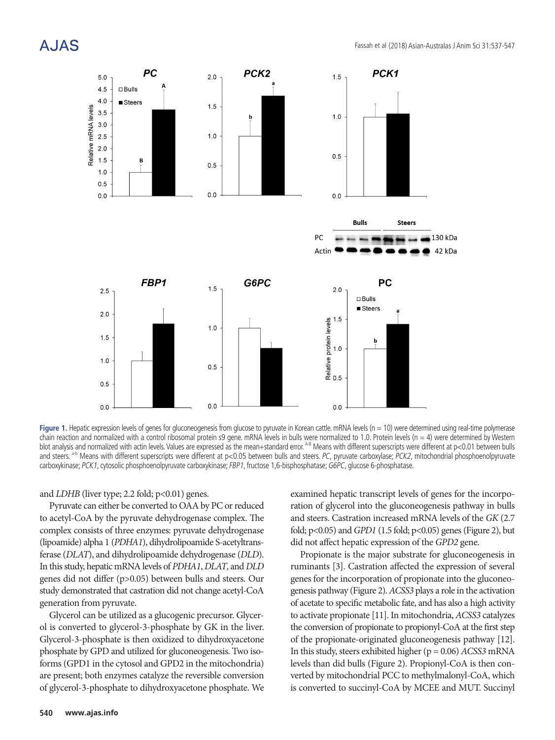# A.JAS



**Figure 1.** Hepatic expression levels of genes for gluconeogenesis from glucose to pyruvate in Korean cattle. mRNA levels (n = 10) were determined using real-time polymerase chain reaction and normalized with a control ribosomal protein s9 gene. mRNA levels in bulls were normalized to 1.0. Protein levels (n = 4) were determined by Western blot analysis and normalized with actin levels. Values are expressed as the mean+standard error. A-B Means with different superscripts were different at p<0.01 between bulls and steers. a-b Means with different superscripts were different at p<0.05 between bulls and steers. PC, pyruvate carboxylase; PCK2, mitochondrial phosphoenolpyruvate carboxykinase; PCK1, cytosolic phosphoenolpyruvate carboxykinase; FBP1, fructose 1,6-bisphosphatase; G6PC, glucose 6-phosphatase.

#### and *LDHB* (liver type; 2.2 fold; p<0.01) genes.

Pyruvate can either be converted to OAA by PC or reduced to acetyl-CoA by the pyruvate dehydrogenase complex. The complex consists of three enzymes: pyruvate dehydrogenase (lipoamide) alpha 1 (*PDHA1*), dihydrolipoamide S-acetyltransferase (*DLAT*), and dihydrolipoamide dehydrogenase (*DLD*). In this study, hepatic mRNA levels of *PDHA1*, *DLAT*, and *DLD* genes did not differ (p>0.05) between bulls and steers. Our study demonstrated that castration did not change acetyl-CoA generation from pyruvate.

Glycerol can be utilized as a glucogenic precursor. Glycerol is converted to glycerol-3-phosphate by GK in the liver. Glycerol-3-phosphate is then oxidized to dihydroxyacetone phosphate by GPD and utilized for gluconeogenesis. Two isoforms (GPD1 in the cytosol and GPD2 in the mitochondria) are present; both enzymes catalyze the reversible conversion of glycerol-3-phosphate to dihydroxyacetone phosphate. We examined hepatic transcript levels of genes for the incorporation of glycerol into the gluconeogenesis pathway in bulls and steers. Castration increased mRNA levels of the *GK* (2.7 fold; p<0.05) and *GPD1* (1.5 fold; p<0.05) genes (Figure 2), but did not affect hepatic expression of the *GPD2* gene.

Propionate is the major substrate for gluconeogenesis in ruminants [3]. Castration affected the expression of several genes for the incorporation of propionate into the gluconeogenesis pathway (Figure 2). *ACSS3* plays a role in the activation of acetate to specific metabolic fate, and has also a high activity to activate propionate [11]. In mitochondria, *ACSS3* catalyzes the conversion of propionate to propionyl-CoA at the first step of the propionate-originated gluconeogenesis pathway [12]. In this study, steers exhibited higher (p = 0.06) *ACSS3* mRNA levels than did bulls (Figure 2). Propionyl-CoA is then converted by mitochondrial PCC to methylmalonyl-CoA, which is converted to succinyl-CoA by MCEE and MUT. Succinyl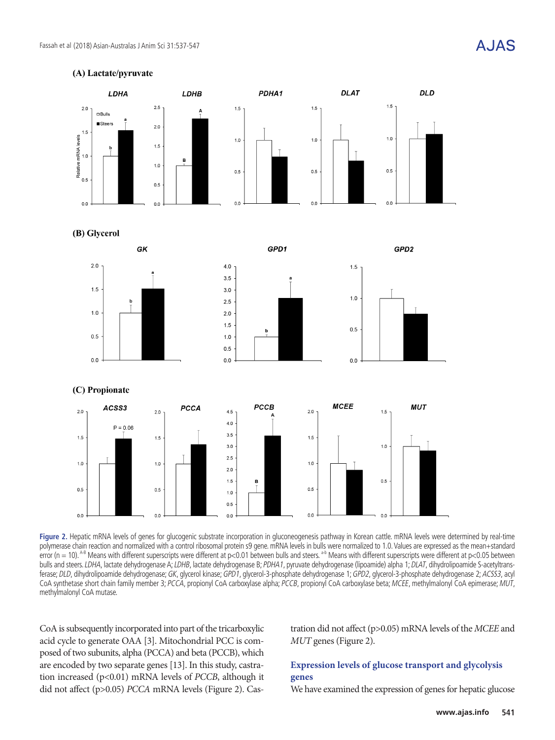



**Figure 2.** Hepatic mRNA levels of genes for glucogenic substrate incorporation in gluconeogenesis pathway in Korean cattle. mRNA levels were determined by real-time polymerase chain reaction and normalized with a control ribosomal protein s9 gene. mRNA levels in bulls were normalized to 1.0. Values are expressed as the mean+standard error (n = 10). A-B Means with different superscripts were different at p<0.01 between bulls and steers. a-b Means with different superscripts were different at p<0.05 between bulls and steers. LDHA, lactate dehydrogenase A; LDHB, lactate dehydrogenase B; PDHA1, pyruvate dehydrogenase (lipoamide) alpha 1; DLAT, dihydrolipoamide S-acetyltransferase; DLD, dihydrolipoamide dehydrogenase; GK, glycerol kinase; GPD1, glycerol-3-phosphate dehydrogenase 1; GPD2, glycerol-3-phosphate dehydrogenase 2; ACSS3, acyl CoA synthetase short chain family member 3; PCCA, propionyl CoA carboxylase alpha; PCCB, propionyl CoA carboxylase beta; MCEE, methylmalonyl CoA epimerase; MUT, methylmalonyl CoA mutase.

CoA is subsequently incorporated into part of the tricarboxylic acid cycle to generate OAA [3]. Mitochondrial PCC is composed of two subunits, alpha (PCCA) and beta (PCCB), which are encoded by two separate genes [13]. In this study, castration increased (p<0.01) mRNA levels of *PCCB*, although it did not affect (p>0.05) *PCCA* mRNA levels (Figure 2). Castration did not affect (p>0.05) mRNA levels of the *MCEE* and *MUT* genes (Figure 2).

### **Expression levels of glucose transport and glycolysis genes**

We have examined the expression of genes for hepatic glucose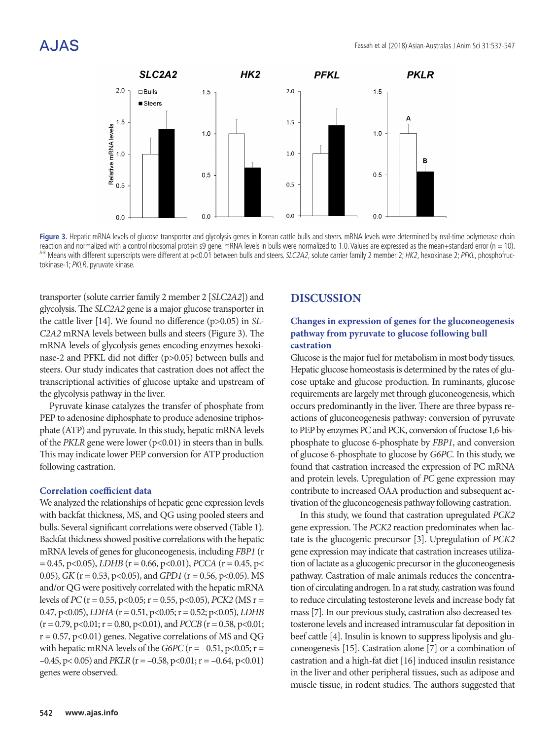

Figure 3. Hepatic mRNA levels of glucose transporter and glycolysis genes in Korean cattle bulls and steers. mRNA levels were determined by real-time polymerase chain reaction and normalized with a control ribosomal protein s9 gene. mRNA levels in bulls were normalized to 1.0. Values are expressed as the mean+standard error (n = 10). <sup>A-B</sup> Means with different superscripts were different at p<0.01 between bulls and steers. SLC2A2, solute carrier family 2 member 2; HK2, hexokinase 2; PFKL, phosphofructokinase-1; PKLR, pyruvate kinase.

transporter (solute carrier family 2 member 2 [*SLC2A2*]) and glycolysis. The *SLC2A2* gene is a major glucose transporter in the cattle liver [14]. We found no difference (p>0.05) in *SL-C2A2* mRNA levels between bulls and steers (Figure 3). The mRNA levels of glycolysis genes encoding enzymes hexokinase-2 and PFKL did not differ (p>0.05) between bulls and steers. Our study indicates that castration does not affect the transcriptional activities of glucose uptake and upstream of the glycolysis pathway in the liver.

Pyruvate kinase catalyzes the transfer of phosphate from PEP to adenosine diphosphate to produce adenosine triphosphate (ATP) and pyruvate. In this study, hepatic mRNA levels of the *PKLR* gene were lower  $(p<0.01)$  in steers than in bulls. This may indicate lower PEP conversion for ATP production following castration.

#### **Correlation coefficient data**

We analyzed the relationships of hepatic gene expression levels with backfat thickness, MS, and QG using pooled steers and bulls. Several significant correlations were observed (Table 1). Backfat thickness showed positive correlations with the hepatic mRNA levels of genes for gluconeogenesis, including *FBP1* (r  $= 0.45$ , p<0.05), *LDHB* (r = 0.66, p<0.01), *PCCA* (r = 0.45, p< 0.05), *GK* (r = 0.53, p<0.05), and *GPD1* (r = 0.56, p<0.05). MS and/or QG were positively correlated with the hepatic mRNA levels of *PC* (r = 0.55, p<0.05; r = 0.55, p<0.05), *PCK2* (MS r = 0.47, p<0.05), *LDHA* (r = 0.51, p<0.05; r = 0.52; p<0.05), *LDHB*  $(r = 0.79, p < 0.01; r = 0.80, p < 0.01)$ , and *PCCB*  $(r = 0.58, p < 0.01;$  $r = 0.57$ , p<0.01) genes. Negative correlations of MS and QG with hepatic mRNA levels of the *G6PC* ( $r = -0.51$ ,  $p < 0.05$ ;  $r =$  $-0.45$ , p< 0.05) and *PKLR* (r =  $-0.58$ , p<0.01; r =  $-0.64$ , p<0.01) genes were observed.

### **DISCUSSION**

### **Changes in expression of genes for the gluconeogenesis pathway from pyruvate to glucose following bull castration**

Glucose is the major fuel for metabolism in most body tissues. Hepatic glucose homeostasis is determined by the rates of glucose uptake and glucose production. In ruminants, glucose requirements are largely met through gluconeogenesis, which occurs predominantly in the liver. There are three bypass reactions of gluconeogenesis pathway: conversion of pyruvate to PEP by enzymes PC and PCK, conversion of fructose 1,6-bisphosphate to glucose 6-phosphate by *FBP1*, and conversion of glucose 6-phosphate to glucose by *G6PC*. In this study, we found that castration increased the expression of PC mRNA and protein levels. Upregulation of *PC* gene expression may contribute to increased OAA production and subsequent activation of the gluconeogenesis pathway following castration.

In this study, we found that castration upregulated *PCK2*  gene expression. The *PCK2* reaction predominates when lactate is the glucogenic precursor [3]. Upregulation of *PCK2* gene expression may indicate that castration increases utilization of lactate as a glucogenic precursor in the gluconeogenesis pathway. Castration of male animals reduces the concentration of circulating androgen. In a rat study, castration was found to reduce circulating testosterone levels and increase body fat mass [7]. In our previous study, castration also decreased testosterone levels and increased intramuscular fat deposition in beef cattle [4]. Insulin is known to suppress lipolysis and gluconeogenesis [15]. Castration alone [7] or a combination of castration and a high-fat diet [16] induced insulin resistance in the liver and other peripheral tissues, such as adipose and muscle tissue, in rodent studies. The authors suggested that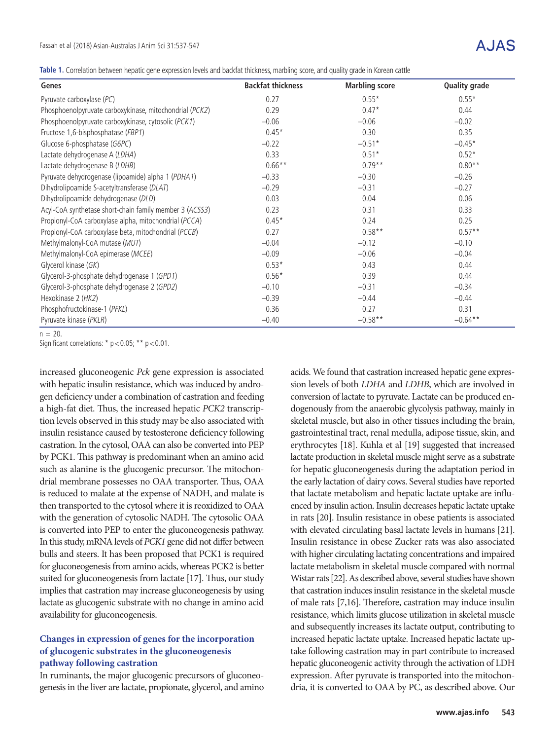**Table 1.** Correlation between hepatic gene expression levels and backfat thickness, marbling score, and quality grade in Korean cattle

| Genes                                                   | <b>Backfat thickness</b> | <b>Marbling score</b> | <b>Quality grade</b> |
|---------------------------------------------------------|--------------------------|-----------------------|----------------------|
| Pyruvate carboxylase (PC)                               | 0.27                     | $0.55*$               | $0.55*$              |
| Phosphoenolpyruvate carboxykinase, mitochondrial (PCK2) | 0.29                     | $0.47*$               | 0.44                 |
| Phosphoenolpyruvate carboxykinase, cytosolic (PCK1)     | $-0.06$                  | $-0.06$               | $-0.02$              |
| Fructose 1,6-bisphosphatase (FBP1)                      | $0.45*$                  | 0.30                  | 0.35                 |
| Glucose 6-phosphatase (G6PC)                            | $-0.22$                  | $-0.51*$              | $-0.45*$             |
| Lactate dehydrogenase A (LDHA)                          | 0.33                     | $0.51*$               | $0.52*$              |
| Lactate dehydrogenase B (LDHB)                          | $0.66***$                | $0.79**$              | $0.80**$             |
| Pyruvate dehydrogenase (lipoamide) alpha 1 (PDHA1)      | $-0.33$                  | $-0.30$               | $-0.26$              |
| Dihydrolipoamide S-acetyltransferase (DLAT)             | $-0.29$                  | $-0.31$               | $-0.27$              |
| Dihydrolipoamide dehydrogenase (DLD)                    | 0.03                     | 0.04                  | 0.06                 |
| Acyl-CoA synthetase short-chain family member 3 (ACSS3) | 0.23                     | 0.31                  | 0.33                 |
| Propionyl-CoA carboxylase alpha, mitochondrial (PCCA)   | $0.45*$                  | 0.24                  | 0.25                 |
| Propionyl-CoA carboxylase beta, mitochondrial (PCCB)    | 0.27                     | $0.58**$              | $0.57**$             |
| Methylmalonyl-CoA mutase (MUT)                          | $-0.04$                  | $-0.12$               | $-0.10$              |
| Methylmalonyl-CoA epimerase (MCEE)                      | $-0.09$                  | $-0.06$               | $-0.04$              |
| Glycerol kinase (GK)                                    | $0.53*$                  | 0.43                  | 0.44                 |
| Glycerol-3-phosphate dehydrogenase 1 (GPD1)             | $0.56*$                  | 0.39                  | 0.44                 |
| Glycerol-3-phosphate dehydrogenase 2 (GPD2)             | $-0.10$                  | $-0.31$               | $-0.34$              |
| Hexokinase 2 (HK2)                                      | $-0.39$                  | $-0.44$               | $-0.44$              |
| Phosphofructokinase-1 (PFKL)                            | 0.36                     | 0.27                  | 0.31                 |
| Pyruvate kinase (PKLR)                                  | $-0.40$                  | $-0.58**$             | $-0.64**$            |

 $n = 20$ 

Significant correlations: \* p < 0.05; \*\* p < 0.01.

increased gluconeogenic *Pck* gene expression is associated with hepatic insulin resistance, which was induced by androgen deficiency under a combination of castration and feeding a high-fat diet. Thus, the increased hepatic *PCK2* transcription levels observed in this study may be also associated with insulin resistance caused by testosterone deficiency following castration. In the cytosol, OAA can also be converted into PEP by PCK1. This pathway is predominant when an amino acid such as alanine is the glucogenic precursor. The mitochondrial membrane possesses no OAA transporter. Thus, OAA is reduced to malate at the expense of NADH, and malate is then transported to the cytosol where it is reoxidized to OAA with the generation of cytosolic NADH. The cytosolic OAA is converted into PEP to enter the gluconeogenesis pathway. In this study, mRNA levels of *PCK1* gene did not differ between bulls and steers. It has been proposed that PCK1 is required for gluconeogenesis from amino acids, whereas PCK2 is better suited for gluconeogenesis from lactate [17]. Thus, our study implies that castration may increase gluconeogenesis by using lactate as glucogenic substrate with no change in amino acid availability for gluconeogenesis.

### **Changes in expression of genes for the incorporation of glucogenic substrates in the gluconeogenesis pathway following castration**

In ruminants, the major glucogenic precursors of gluconeogenesis in the liver are lactate, propionate, glycerol, and amino acids. We found that castration increased hepatic gene expression levels of both *LDHA* and *LDHB*, which are involved in conversion of lactate to pyruvate. Lactate can be produced endogenously from the anaerobic glycolysis pathway, mainly in skeletal muscle, but also in other tissues including the brain, gastrointestinal tract, renal medulla, adipose tissue, skin, and erythrocytes [18]. Kuhla et al [19] suggested that increased lactate production in skeletal muscle might serve as a substrate for hepatic gluconeogenesis during the adaptation period in the early lactation of dairy cows. Several studies have reported that lactate metabolism and hepatic lactate uptake are influenced by insulin action. Insulin decreases hepatic lactate uptake in rats [20]. Insulin resistance in obese patients is associated with elevated circulating basal lactate levels in humans [21]. Insulin resistance in obese Zucker rats was also associated with higher circulating lactating concentrations and impaired lactate metabolism in skeletal muscle compared with normal Wistar rats [22]. As described above, several studies have shown that castration induces insulin resistance in the skeletal muscle of male rats [7,16]. Therefore, castration may induce insulin resistance, which limits glucose utilization in skeletal muscle and subsequently increases its lactate output, contributing to increased hepatic lactate uptake. Increased hepatic lactate uptake following castration may in part contribute to increased hepatic gluconeogenic activity through the activation of LDH expression. After pyruvate is transported into the mitochondria, it is converted to OAA by PC, as described above. Our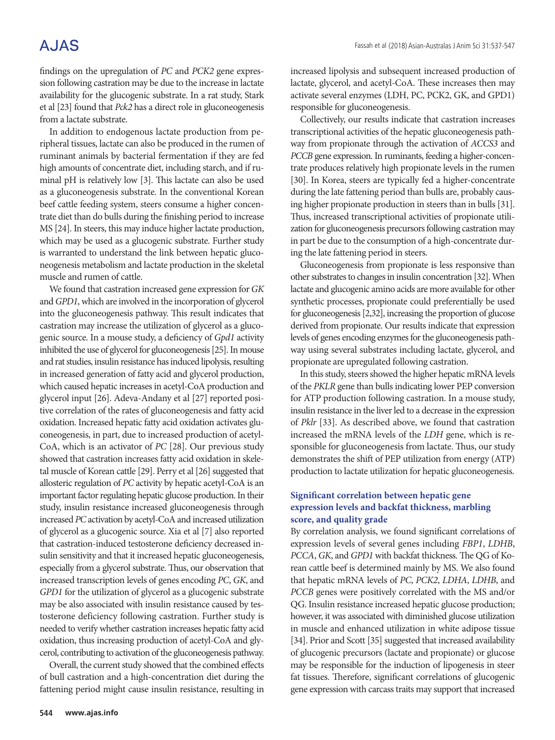## **AJAS**

findings on the upregulation of *PC* and *PCK2* gene expression following castration may be due to the increase in lactate availability for the glucogenic substrate. In a rat study, Stark et al [23] found that *Pck2* has a direct role in gluconeogenesis from a lactate substrate.

In addition to endogenous lactate production from peripheral tissues, lactate can also be produced in the rumen of ruminant animals by bacterial fermentation if they are fed high amounts of concentrate diet, including starch, and if ruminal pH is relatively low [3]. This lactate can also be used as a gluconeogenesis substrate. In the conventional Korean beef cattle feeding system, steers consume a higher concentrate diet than do bulls during the finishing period to increase MS [24]. In steers, this may induce higher lactate production, which may be used as a glucogenic substrate. Further study is warranted to understand the link between hepatic gluconeogenesis metabolism and lactate production in the skeletal muscle and rumen of cattle.

We found that castration increased gene expression for *GK* and *GPD1*, which are involved in the incorporation of glycerol into the gluconeogenesis pathway. This result indicates that castration may increase the utilization of glycerol as a glucogenic source. In a mouse study, a deficiency of *Gpd1* activity inhibited the use of glycerol for gluconeogenesis [25]. In mouse and rat studies, insulin resistance has induced lipolysis, resulting in increased generation of fatty acid and glycerol production, which caused hepatic increases in acetyl-CoA production and glycerol input [26]. Adeva-Andany et al [27] reported positive correlation of the rates of gluconeogenesis and fatty acid oxidation. Increased hepatic fatty acid oxidation activates gluconeogenesis, in part, due to increased production of acetyl-CoA, which is an activator of *PC* [28]. Our previous study showed that castration increases fatty acid oxidation in skeletal muscle of Korean cattle [29]. Perry et al [26] suggested that allosteric regulation of *PC* activity by hepatic acetyl-CoA is an important factor regulating hepatic glucose production. In their study, insulin resistance increased gluconeogenesis through increased *PC* activation by acetyl-CoA and increased utilization of glycerol as a glucogenic source. Xia et al [7] also reported that castration-induced testosterone deficiency decreased insulin sensitivity and that it increased hepatic gluconeogenesis, especially from a glycerol substrate. Thus, our observation that increased transcription levels of genes encoding *PC*, *GK*, and *GPD1* for the utilization of glycerol as a glucogenic substrate may be also associated with insulin resistance caused by testosterone deficiency following castration. Further study is needed to verify whether castration increases hepatic fatty acid oxidation, thus increasing production of acetyl-CoA and glycerol, contributing to activation of the gluconeogenesis pathway.

Overall, the current study showed that the combined effects of bull castration and a high-concentration diet during the fattening period might cause insulin resistance, resulting in increased lipolysis and subsequent increased production of lactate, glycerol, and acetyl-CoA. These increases then may activate several enzymes (LDH, PC, PCK2, GK, and GPD1) responsible for gluconeogenesis.

Collectively, our results indicate that castration increases transcriptional activities of the hepatic gluconeogenesis pathway from propionate through the activation of *ACCS3* and *PCCB* gene expression. In ruminants, feeding a higher-concentrate produces relatively high propionate levels in the rumen [30]. In Korea, steers are typically fed a higher-concentrate during the late fattening period than bulls are, probably causing higher propionate production in steers than in bulls [31]. Thus, increased transcriptional activities of propionate utilization for gluconeogenesis precursors following castration may in part be due to the consumption of a high-concentrate during the late fattening period in steers.

Gluconeogenesis from propionate is less responsive than other substrates to changes in insulin concentration [32]. When lactate and glucogenic amino acids are more available for other synthetic processes, propionate could preferentially be used for gluconeogenesis [2,32], increasing the proportion of glucose derived from propionate. Our results indicate that expression levels of genes encoding enzymes for the gluconeogenesis pathway using several substrates including lactate, glycerol, and propionate are upregulated following castration.

In this study, steers showed the higher hepatic mRNA levels of the *PKLR* gene than bulls indicating lower PEP conversion for ATP production following castration. In a mouse study, insulin resistance in the liver led to a decrease in the expression of *Pklr* [33]. As described above, we found that castration increased the mRNA levels of the *LDH* gene, which is responsible for gluconeogenesis from lactate. Thus, our study demonstrates the shift of PEP utilization from energy (ATP) production to lactate utilization for hepatic gluconeogenesis.

#### **Significant correlation between hepatic gene expression levels and backfat thickness, marbling score, and quality grade**

By correlation analysis, we found significant correlations of expression levels of several genes including *FBP1*, *LDHB*, *PCCA*, *GK*, and *GPD1* with backfat thickness. The QG of Korean cattle beef is determined mainly by MS. We also found that hepatic mRNA levels of *PC*, *PCK2*, *LDHA*, *LDHB*, and *PCCB* genes were positively correlated with the MS and/or QG. Insulin resistance increased hepatic glucose production; however, it was associated with diminished glucose utilization in muscle and enhanced utilization in white adipose tissue [34]. Prior and Scott [35] suggested that increased availability of glucogenic precursors (lactate and propionate) or glucose may be responsible for the induction of lipogenesis in steer fat tissues. Therefore, significant correlations of glucogenic gene expression with carcass traits may support that increased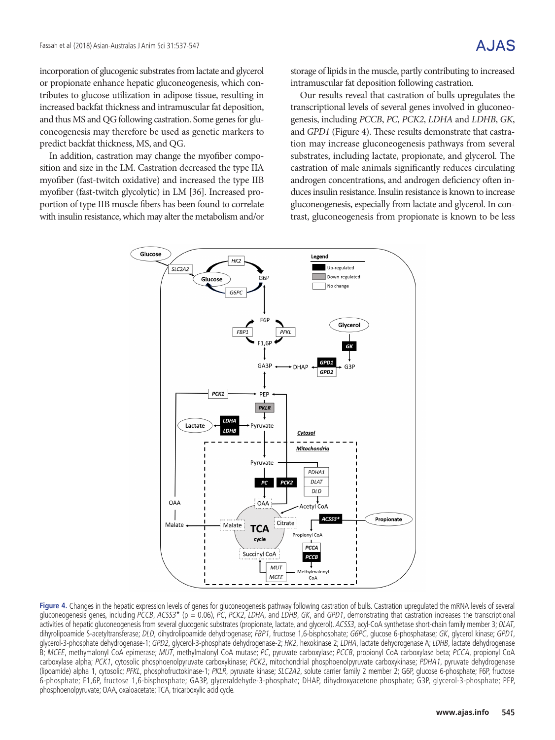incorporation of glucogenic substrates from lactate and glycerol or propionate enhance hepatic gluconeogenesis, which contributes to glucose utilization in adipose tissue, resulting in increased backfat thickness and intramuscular fat deposition, and thus MS and QG following castration. Some genes for gluconeogenesis may therefore be used as genetic markers to predict backfat thickness, MS, and QG.

In addition, castration may change the myofiber composition and size in the LM. Castration decreased the type IIA myofiber (fast-twitch oxidative) and increased the type IIB myofiber (fast-twitch glycolytic) in LM [36]. Increased proportion of type IIB muscle fibers has been found to correlate with insulin resistance, which may alter the metabolism and/or storage of lipids in the muscle, partly contributing to increased intramuscular fat deposition following castration.

Our results reveal that castration of bulls upregulates the transcriptional levels of several genes involved in gluconeogenesis, including *PCCB*, *PC*, *PCK2*, *LDHA* and *LDHB*, *GK*, and *GPD1* (Figure 4). These results demonstrate that castration may increase gluconeogenesis pathways from several substrates, including lactate, propionate, and glycerol. The castration of male animals significantly reduces circulating androgen concentrations, and androgen deficiency often induces insulin resistance. Insulin resistance is known to increase gluconeogenesis, especially from lactate and glycerol. In contrast, gluconeogenesis from propionate is known to be less



**Figure 4.** Changes in the hepatic expression levels of genes for gluconeogenesis pathway following castration of bulls. Castration upregulated the mRNA levels of several gluconeogenesis genes, including PCCB, ACSS3\* (p = 0.06), PC, PCK2, LDHA, and LDHB, GK, and GPD1, demonstrating that castration increases the transcriptional activities of hepatic gluconeogenesis from several glucogenic substrates (propionate, lactate, and glycerol). ACSS3, acyl-CoA synthetase short-chain family member 3; DLAT, dihyrolipoamide S-acetyltransferase; DLD, dihydrolipoamide dehydrogenase; FBP1, fructose 1,6-bisphosphate; G6PC, glucose 6-phosphatase; GK, glycerol kinase; GPD1, glycerol-3-phosphate dehydrogenase-1; GPD2, glycerol-3-phosphate dehydrogenase-2; HK2, hexokinase 2; LDHA, lactate dehydrogenase A; LDHB, lactate dehydrogenase A; LDHB, lactate dehydrogenase A; LDHB, lactate dehydrogenase B; MCEE, methymalonyl CoA epimerase; MUT, methylmalonyl CoA mutase; PC, pyruvate carboxylase; PCCB, propionyl CoA carboxylase beta; PCCA, propionyl CoA carboxylase alpha; PCK1, cytosolic phosphoenolpyruvate carboxykinase; PCK2, mitochondrial phosphoenolpyruvate carboxykinase; PDHA1, pyruvate dehydrogenase (lipoamide) alpha 1, cytosolic; PFKL, phosphofructokinase-1; PKLR, pyruvate kinase; SLC2A2, solute carrier family 2 member 2; G6P, glucose 6-phosphate; F6P, fructose 6-phosphate; F1,6P, fructose 1,6-bisphosphate; GA3P, glyceraldehyde-3-phosphate; DHAP, dihydroxyacetone phosphate; G3P, glycerol-3-phosphate; PEP, phosphoenolpyruvate; OAA, oxaloacetate; TCA, tricarboxylic acid cycle.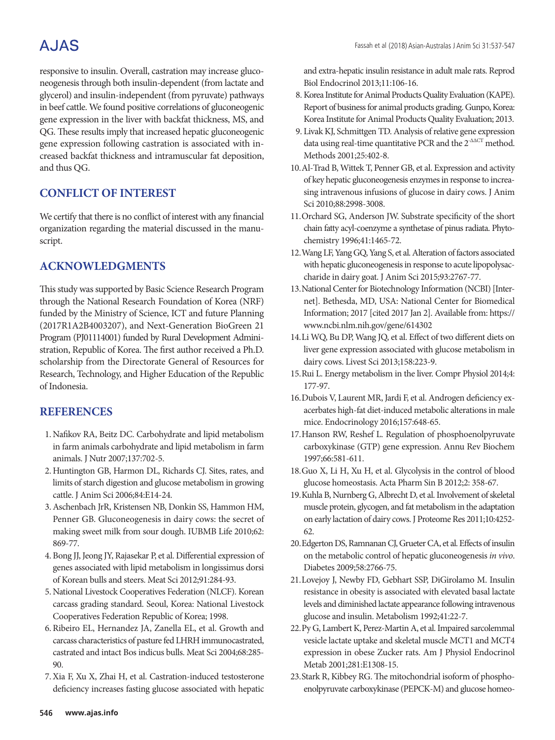# **AJAS**

responsive to insulin. Overall, castration may increase gluconeogenesis through both insulin-dependent (from lactate and glycerol) and insulin-independent (from pyruvate) pathways in beef cattle. We found positive correlations of gluconeogenic gene expression in the liver with backfat thickness, MS, and QG. These results imply that increased hepatic gluconeogenic gene expression following castration is associated with increased backfat thickness and intramuscular fat deposition, and thus QG.

## **CONFLICT OF INTEREST**

We certify that there is no conflict of interest with any financial organization regarding the material discussed in the manuscript.

## **ACKNOWLEDGMENTS**

This study was supported by Basic Science Research Program through the National Research Foundation of Korea (NRF) funded by the Ministry of Science, ICT and future Planning (2017R1A2B4003207), and Next-Generation BioGreen 21 Program (PJ01114001) funded by Rural Development Administration, Republic of Korea. The first author received a Ph.D. scholarship from the Directorate General of Resources for Research, Technology, and Higher Education of the Republic of Indonesia.

### **REFERENCES**

- 1. Nafikov RA, Beitz DC. Carbohydrate and lipid metabolism in farm animals carbohydrate and lipid metabolism in farm animals. J Nutr 2007;137:702-5.
- 2. Huntington GB, Harmon DL, Richards CJ. Sites, rates, and limits of starch digestion and glucose metabolism in growing cattle. J Anim Sci 2006;84:E14-24.
- 3.Aschenbach JrR, Kristensen NB, Donkin SS, Hammon HM, Penner GB. Gluconeogenesis in dairy cows: the secret of making sweet milk from sour dough. IUBMB Life 2010;62: 869-77.
- 4. Bong JJ, Jeong JY, Rajasekar P, et al. Differential expression of genes associated with lipid metabolism in longissimus dorsi of Korean bulls and steers. Meat Sci 2012;91:284-93.
- 5. National Livestock Cooperatives Federation (NLCF). Korean carcass grading standard. Seoul, Korea: National Livestock Cooperatives Federation Republic of Korea; 1998.
- 6. Ribeiro EL, Hernandez JA, Zanella EL, et al. Growth and carcass characteristics of pasture fed LHRH immunocastrated, castrated and intact Bos indicus bulls. Meat Sci 2004;68:285- 90.
- 7.Xia F, Xu X, Zhai H, et al. Castration-induced testosterone deficiency increases fasting glucose associated with hepatic

and extra-hepatic insulin resistance in adult male rats. Reprod Biol Endocrinol 2013;11:106-16.

- 8.Korea Institute for Animal Products Quality Evaluation (KAPE). Report of business for animal products grading. Gunpo, Korea: Korea Institute for Animal Products Quality Evaluation; 2013.
- 9. Livak KJ, Schmittgen TD. Analysis of relative gene expression data using real-time quantitative PCR and the  $2^{\triangle\Delta CT}$  method. Methods 2001;25:402-8.
- 10.Al-Trad B, Wittek T, Penner GB, et al. Expression and activity of key hepatic gluconeogenesis enzymes in response to increasing intravenous infusions of glucose in dairy cows. J Anim Sci 2010;88:2998-3008.
- 11.Orchard SG, Anderson JW. Substrate specificity of the short chain fatty acyl-coenzyme a synthetase of pinus radiata. Phytochemistry 1996;41:1465-72.
- 12.Wang LF, Yang GQ, Yang S, et al. Alteration of factors associated with hepatic gluconeogenesis in response to acute lipopolysaccharide in dairy goat. J Anim Sci 2015;93:2767-77.
- 13.National Center for Biotechnology Information (NCBI) [Internet]. Bethesda, MD, USA: National Center for Biomedical Information; 2017 [cited 2017 Jan 2]. Available from: https:// www.ncbi.nlm.nih.gov/gene/614302
- 14.Li WQ, Bu DP, Wang JQ, et al. Effect of two different diets on liver gene expression associated with glucose metabolism in dairy cows. Livest Sci 2013;158:223-9.
- 15.Rui L. Energy metabolism in the liver. Compr Physiol 2014;4: 177-97.
- 16.Dubois V, Laurent MR, Jardi F, et al. Androgen deficiency exacerbates high-fat diet-induced metabolic alterations in male mice. Endocrinology 2016;157:648-65.
- 17.Hanson RW, Reshef L. Regulation of phosphoenolpyruvate carboxykinase (GTP) gene expression. Annu Rev Biochem 1997;66:581-611.
- 18.Guo X, Li H, Xu H, et al. Glycolysis in the control of blood glucose homeostasis. Acta Pharm Sin B 2012;2: 358-67.
- 19.Kuhla B, Nurnberg G, Albrecht D, et al. Involvement of skeletal muscle protein, glycogen, and fat metabolism in the adaptation on early lactation of dairy cows. J Proteome Res 2011;10:4252- 62.
- 20.Edgerton DS, Ramnanan CJ, Grueter CA, et al. Effects of insulin on the metabolic control of hepatic gluconeogenesis *in vivo*. Diabetes 2009;58:2766-75.
- 21.Lovejoy J, Newby FD, Gebhart SSP, DiGirolamo M. Insulin resistance in obesity is associated with elevated basal lactate levels and diminished lactate appearance following intravenous glucose and insulin. Metabolism 1992;41:22-7.
- 22.Py G, Lambert K, Perez-Martin A, et al. Impaired sarcolemmal vesicle lactate uptake and skeletal muscle MCT1 and MCT4 expression in obese Zucker rats. Am J Physiol Endocrinol Metab 2001;281:E1308-15.
- 23.Stark R, Kibbey RG. The mitochondrial isoform of phosphoenolpyruvate carboxykinase (PEPCK-M) and glucose homeo-